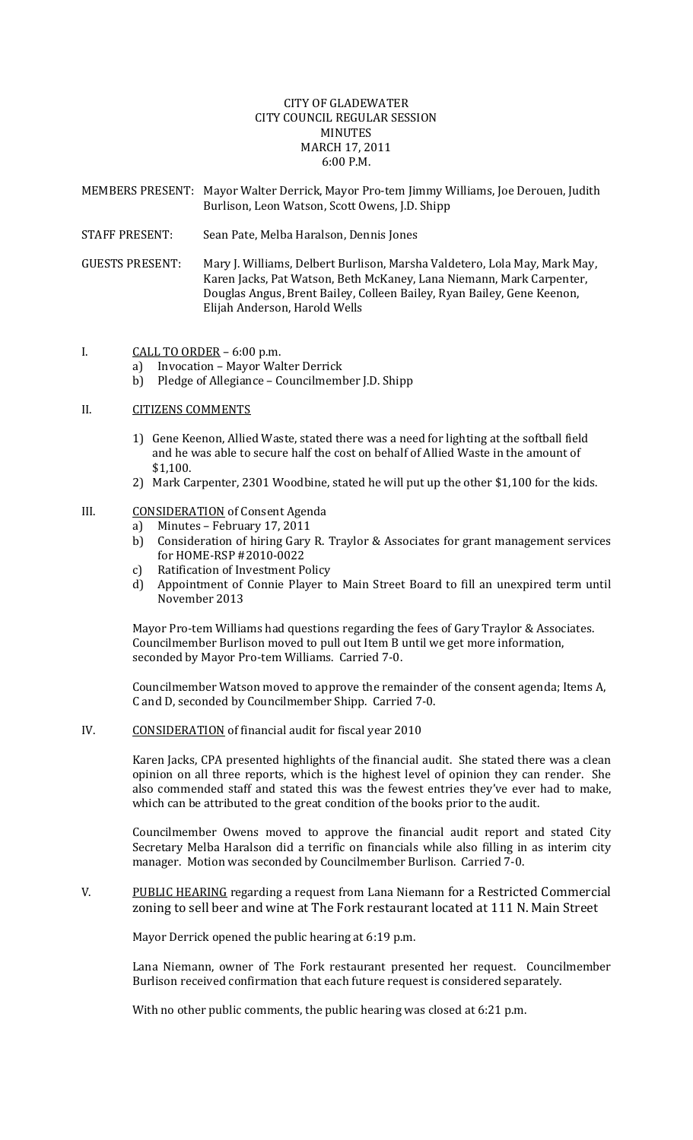## CITY OF GLADEWATER CITY COUNCIL REGULAR SESSION MINUTES MARCH 17, 2011  $6:00 P M$

MEMBERS PRESENT: Mayor Walter Derrick, Mayor Pro‐tem Jimmy Williams, Joe Derouen, Judith Burlison, Leon Watson, Scott Owens, J.D. Shipp

- STAFF PRESENT: Sean Pate, Melba Haralson, Dennis Jones
- GUESTS PRESENT: Mary J. Williams, Delbert Burlison, Marsha Valdetero, Lola May, Mark May, Karen Jacks, Pat Watson, Beth McKaney, Lana Niemann, Mark Carpenter, Douglas Angus, Brent Bailey, Colleen Bailey, Ryan Bailey, Gene Keenon, Elijah Anderson, Harold Wells
- I.  $CALL TO ORDER 6:00 p.m.$ 
	- a) Invocation Mayor Walter Derrick
	- b) Pledge of Allegiance Councilmember J.D. Shipp

#### II. CITIZENS COMMENTS

- 1) Gene Keenon, Allied Waste, stated there was a need for lighting at the softball field and he was able to secure half the cost on behalf of Allied Waste in the amount of \$1,100.
- 2) Mark Carpenter, 2301 Woodbine, stated he will put up the other \$1,100 for the kids.

## III. CONSIDERATION of Consent Agenda

- a) Minutes February 17, 2011
- b) Consideration of hiring Gary R. Traylor & Associates for grant management services for HOME‐RSP #2010‐0022
- c) Ratification of Investment Policy
- d) Appointment of Connie Player to Main Street Board to fill an unexpired term until November 2013

Mayor Pro-tem Williams had questions regarding the fees of Gary Traylor & Associates. Councilmember Burlison moved to pull out Item B until we get more information, seconded by Mayor Pro-tem Williams. Carried 7-0.

Councilmember Watson moved to approve the remainder of the consent agenda; Items A, C and D, seconded by Councilmember Shipp. Carried 7‐0.

#### IV. CONSIDERATION of financial audit for fiscal year 2010

Karen Jacks, CPA presented highlights of the financial audit. She stated there was a clean opinion on all three reports, which is the highest level of opinion they can render. She also commended staff and stated this was the fewest entries they've ever had to make, which can be attributed to the great condition of the books prior to the audit.

Councilmember Owens moved to approve the financial audit report and stated City Secretary Melba Haralson did a terrific on financials while also filling in as interim city manager. Motion was seconded by Councilmember Burlison. Carried 7‐0.

#### V. PUBLIC HEARING regarding a request from Lana Niemann for a Restricted Commercial zoning to sell beer and wine at The Fork restaurant located at 111 N. Main Street

Mayor Derrick opened the public hearing at 6:19 p.m.

Lana Niemann, owner of The Fork restaurant presented her request. Councilmember Burlison received confirmation that each future request is considered separately.

With no other public comments, the public hearing was closed at 6:21 p.m.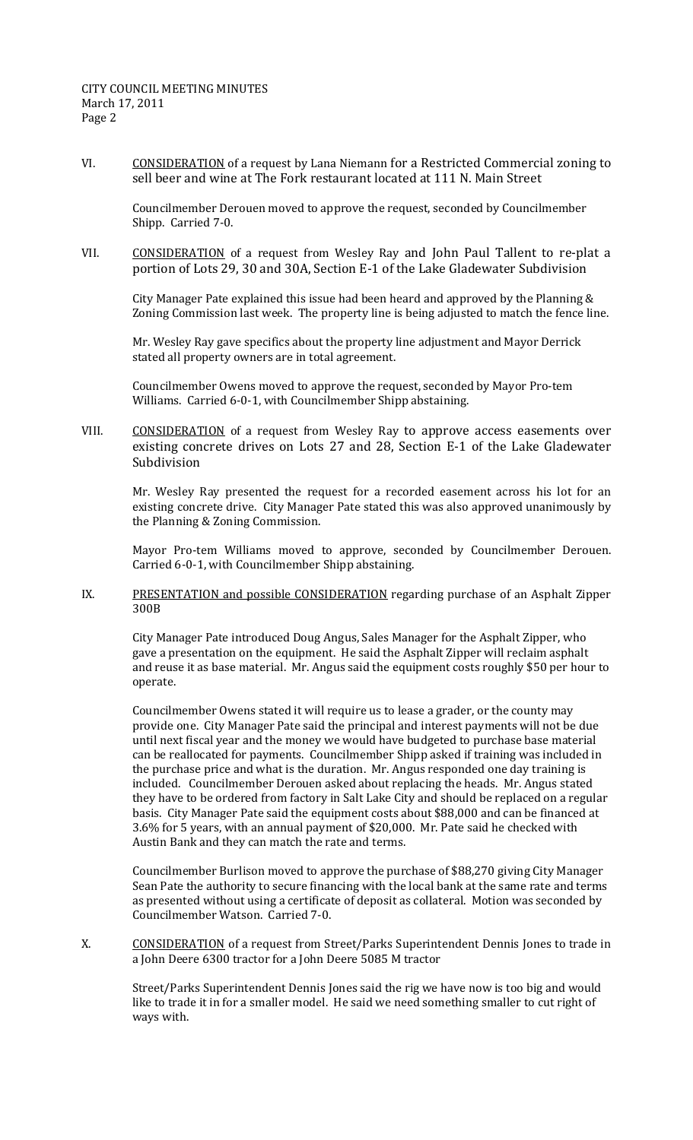VI. CONSIDERATION of a request by Lana Niemann for a Restricted Commercial zoning to sell beer and wine at The Fork restaurant located at 111 N. Main Street

Councilmember Derouen moved to approve the request, seconded by Councilmember Shipp. Carried 7‐0.

VII. CONSIDERATION of a request from Wesley Ray and John Paul Tallent to re-plat a portion of Lots 29, 30 and 30A, Section E‐1 of the Lake Gladewater Subdivision

City Manager Pate explained this issue had been heard and approved by the Planning & Zoning Commission last week. The property line is being adjusted to match the fence line.

Mr. Wesley Ray gave specifics about the property line adjustment and Mayor Derrick stated all property owners are in total agreement.

Councilmember Owens moved to approve the request, seconded by Mayor Pro‐tem Williams. Carried 6-0-1, with Councilmember Shipp abstaining.

VIII. CONSIDERATION of a request from Wesley Ray to approve access easements over existing concrete drives on Lots 27 and 28, Section E-1 of the Lake Gladewater Subdivision

Mr. Wesley Ray presented the request for a recorded easement across his lot for an existing concrete drive. City Manager Pate stated this was also approved unanimously by the Planning & Zoning Commission.

Mayor Pro-tem Williams moved to approve, seconded by Councilmember Derouen. Carried 6‐0‐1, with Councilmember Shipp abstaining.

IX. PRESENTATION and possible CONSIDERATION regarding purchase of an Asphalt Zipper 300B

City Manager Pate introduced Doug Angus, Sales Manager for the Asphalt Zipper, who gave a presentation on the equipment. He said the Asphalt Zipper will reclaim asphalt and reuse it as base material. Mr. Angus said the equipment costs roughly \$50 per hour to operate.

Councilmember Owens stated it will require us to lease a grader, or the county may provide one. City Manager Pate said the principal and interest payments will not be due until next fiscal year and the money we would have budgeted to purchase base material can be reallocated for payments. Councilmember Shipp asked if training was included in the purchase price and what is the duration. Mr. Angus responded one day training is included. Councilmember Derouen asked about replacing the heads. Mr. Angus stated they have to be ordered from factory in Salt Lake City and should be replaced on a regular basis. City Manager Pate said the equipment costs about \$88,000 and can be financed at 3.6% for 5 years, with an annual payment of \$20,000. Mr. Pate said he checked with Austin Bank and they can match the rate and terms.

Councilmember Burlison moved to approve the purchase of \$88,270 giving City Manager Sean Pate the authority to secure financing with the local bank at the same rate and terms as presented without using a certificate of deposit as collateral. Motion was seconded by Councilmember Watson. Carried 7‐0.

X. CONSIDERATION of a request from Street/Parks Superintendent Dennis Jones to trade in a John Deere 6300 tractor for a John Deere 5085 M tractor

Street/Parks Superintendent Dennis Jones said the rig we have now is too big and would like to trade it in for a smaller model. He said we need something smaller to cut right of ways with.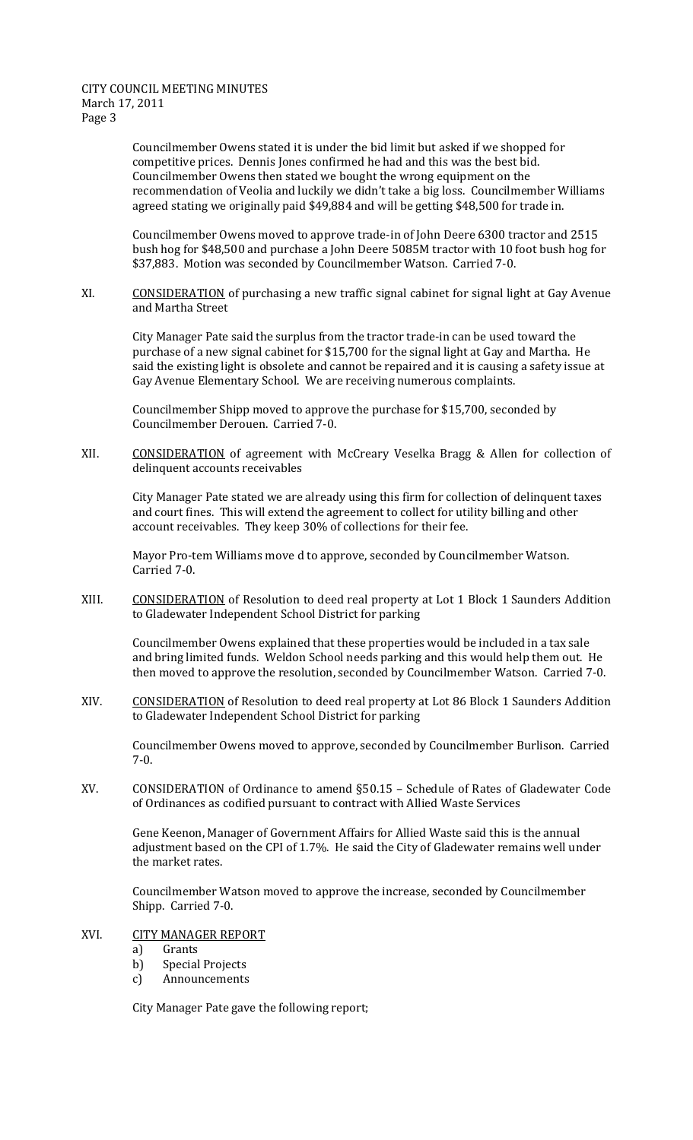### CITY COUNCIL MEETING MINUTES March 17, 2011 Page 3

 Councilmember Owens stated it is under the bid limit but asked if we shopped for competitive prices. Dennis Jones confirmed he had and this was the best bid. Councilmember Owens then stated we bought the wrong equipment on the recommendation of Veolia and luckily we didn't take a big loss. Councilmember Williams agreed stating we originally paid \$49,884 and will be getting \$48,500 for trade in.

 Councilmember Owens moved to approve trade‐in of John Deere 6300 tractor and 2515 bush hog for \$48,500 and purchase a John Deere 5085M tractor with 10 foot bush hog for \$37,883. Motion was seconded by Councilmember Watson. Carried 7‐0.

XI. CONSIDERATION of purchasing a new traffic signal cabinet for signal light at Gay Avenue and Martha Street

City Manager Pate said the surplus from the tractor trade‐in can be used toward the purchase of a new signal cabinet for \$15,700 for the signal light at Gay and Martha. He said the existing light is obsolete and cannot be repaired and it is causing a safety issue at Gay Avenue Elementary School. We are receiving numerous complaints.

Councilmember Shipp moved to approve the purchase for \$15,700, seconded by Councilmember Derouen. Carried 7‐0.

XII. CONSIDERATION of agreement with McCreary Veselka Bragg & Allen for collection of delinquent accounts receivables

City Manager Pate stated we are already using this firm for collection of delinquent taxes and court fines. This will extend the agreement to collect for utility billing and other account receivables. They keep 30% of collections for their fee.

Mayor Pro‐tem Williams move d to approve, seconded by Councilmember Watson. Carried 7‐0.

XIII. CONSIDERATION of Resolution to deed real property at Lot 1 Block 1 Saunders Addition to Gladewater Independent School District for parking

Councilmember Owens explained that these properties would be included in a tax sale and bring limited funds. Weldon School needs parking and this would help them out. He then moved to approve the resolution, seconded by Councilmember Watson. Carried 7‐0.

XIV. CONSIDERATION of Resolution to deed real property at Lot 86 Block 1 Saunders Addition to Gladewater Independent School District for parking

Councilmember Owens moved to approve, seconded by Councilmember Burlison. Carried 7‐0.

XV. CONSIDERATION of Ordinance to amend §50.15 – Schedule of Rates of Gladewater Code of Ordinances as codified pursuant to contract with Allied Waste Services

Gene Keenon, Manager of Government Affairs for Allied Waste said this is the annual adjustment based on the CPI of 1.7%. He said the City of Gladewater remains well under the market rates.

Councilmember Watson moved to approve the increase, seconded by Councilmember Shipp. Carried 7‐0.

XVI. CITY MANAGER REPORT

- a) Grants
- b) Special Projects
- c) Announcements

City Manager Pate gave the following report;